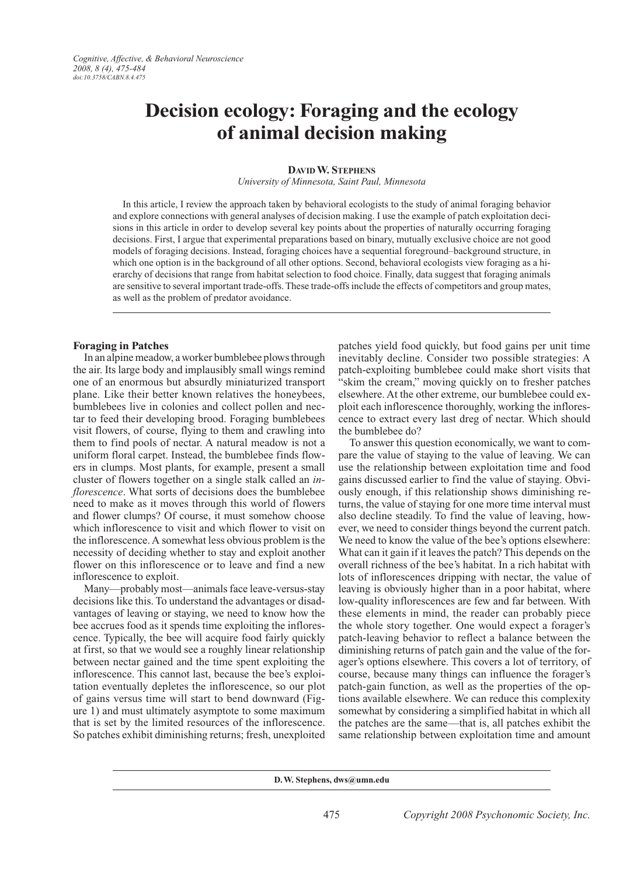# **Decision ecology: Foraging and the ecology of animal decision making**

## **David W. Stephens**

*University of Minnesota, Saint Paul, Minnesota*

In this article, I review the approach taken by behavioral ecologists to the study of animal foraging behavior and explore connections with general analyses of decision making. I use the example of patch exploitation decisions in this article in order to develop several key points about the properties of naturally occurring foraging decisions. First, I argue that experimental preparations based on binary, mutually exclusive choice are not good models of foraging decisions. Instead, foraging choices have a sequential foreground–background structure, in which one option is in the background of all other options. Second, behavioral ecologists view foraging as a hierarchy of decisions that range from habitat selection to food choice. Finally, data suggest that foraging animals are sensitive to several important trade-offs. These trade-offs include the effects of competitors and group mates, as well as the problem of predator avoidance.

## **Foraging in Patches**

In an alpine meadow, a worker bumblebee plows through the air. Its large body and implausibly small wings remind one of an enormous but absurdly miniaturized transport plane. Like their better known relatives the honeybees, bumblebees live in colonies and collect pollen and nectar to feed their developing brood. Foraging bumblebees visit flowers, of course, flying to them and crawling into them to find pools of nectar. A natural meadow is not a uniform floral carpet. Instead, the bumblebee finds flowers in clumps. Most plants, for example, present a small cluster of flowers together on a single stalk called an *inflorescence*. What sorts of decisions does the bumblebee need to make as it moves through this world of flowers and flower clumps? Of course, it must somehow choose which inflorescence to visit and which flower to visit on the inflorescence. A somewhat less obvious problem is the necessity of deciding whether to stay and exploit another flower on this inflorescence or to leave and find a new inflorescence to exploit.

Many—probably most—animals face leave-versus-stay decisions like this. To understand the advantages or disadvantages of leaving or staying, we need to know how the bee accrues food as it spends time exploiting the inflorescence. Typically, the bee will acquire food fairly quickly at first, so that we would see a roughly linear relationship between nectar gained and the time spent exploiting the inflorescence. This cannot last, because the bee's exploitation eventually depletes the inflorescence, so our plot of gains versus time will start to bend downward (Figure 1) and must ultimately asymptote to some maximum that is set by the limited resources of the inflorescence. So patches exhibit diminishing returns; fresh, unexploited

patches yield food quickly, but food gains per unit time inevitably decline. Consider two possible strategies: A patch-exploiting bumblebee could make short visits that "skim the cream," moving quickly on to fresher patches elsewhere. At the other extreme, our bumblebee could exploit each inflorescence thoroughly, working the inflorescence to extract every last dreg of nectar. Which should the bumblebee do?

To answer this question economically, we want to compare the value of staying to the value of leaving. We can use the relationship between exploitation time and food gains discussed earlier to find the value of staying. Obviously enough, if this relationship shows diminishing returns, the value of staying for one more time interval must also decline steadily. To find the value of leaving, however, we need to consider things beyond the current patch. We need to know the value of the bee's options elsewhere: What can it gain if it leaves the patch? This depends on the overall richness of the bee's habitat. In a rich habitat with lots of inflorescences dripping with nectar, the value of leaving is obviously higher than in a poor habitat, where low-quality inflorescences are few and far between. With these elements in mind, the reader can probably piece the whole story together. One would expect a forager's patch-leaving behavior to reflect a balance between the diminishing returns of patch gain and the value of the forager's options elsewhere. This covers a lot of territory, of course, because many things can influence the forager's patch-gain function, as well as the properties of the options available elsewhere. We can reduce this complexity somewhat by considering a simplified habitat in which all the patches are the same—that is, all patches exhibit the same relationship between exploitation time and amount

**D. W. Stephens, dws@umn.edu**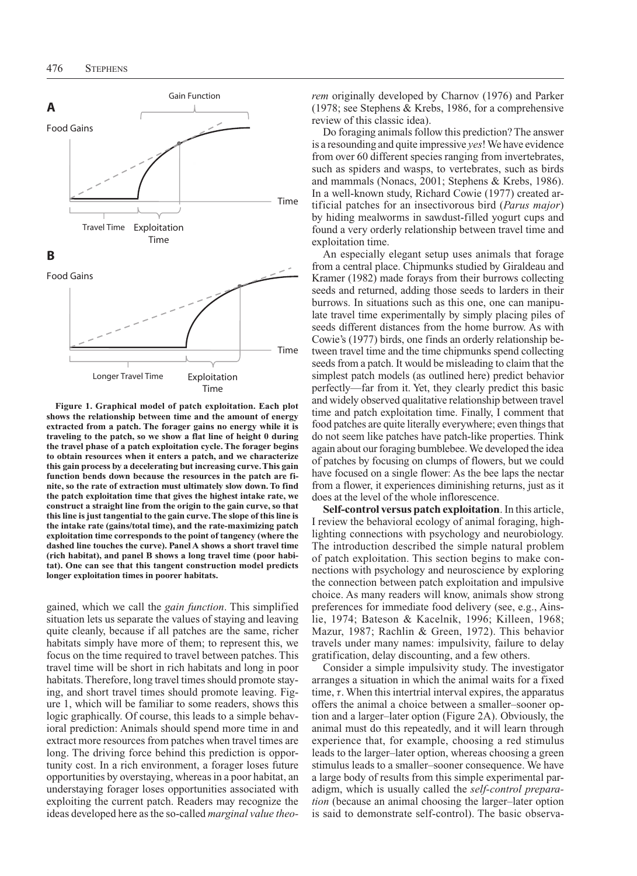

**Figure 1. Graphical model of patch exploitation. Each plot shows the relationship between time and the amount of energy extracted from a patch. The forager gains no energy while it is traveling to the patch, so we show a flat line of height 0 during the travel phase of a patch exploitation cycle. The forager begins to obtain resources when it enters a patch, and we characterize this gain process by a decelerating but increasing curve. This gain function bends down because the resources in the patch are finite, so the rate of extraction must ultimately slow down. To find the patch exploitation time that gives the highest intake rate, we construct a straight line from the origin to the gain curve, so that this line is just tangential to the gain curve. The slope of this line is the intake rate (gains/total time), and the rate-maximizing patch exploitation time corresponds to the point of tangency (where the**  dashed line touches the curve). Panel A shows a short travel time **(rich habitat), and panel B shows a long travel time (poor habitat). One can see that this tangent construction model predicts longer exploitation times in poorer habitats.**

gained, which we call the *gain function*. This simplified situation lets us separate the values of staying and leaving quite cleanly, because if all patches are the same, richer habitats simply have more of them; to represent this, we focus on the time required to travel between patches. This travel time will be short in rich habitats and long in poor habitats. Therefore, long travel times should promote staying, and short travel times should promote leaving. Figure 1, which will be familiar to some readers, shows this logic graphically. Of course, this leads to a simple behavioral prediction: Animals should spend more time in and extract more resources from patches when travel times are long. The driving force behind this prediction is opportunity cost. In a rich environment, a forager loses future opportunities by overstaying, whereas in a poor habitat, an understaying forager loses opportunities associated with exploiting the current patch. Readers may recognize the ideas developed here as the so-called *marginal value theo-*

*rem* originally developed by Charnov (1976) and Parker (1978; see Stephens & Krebs, 1986, for a comprehensive review of this classic idea).

Do foraging animals follow this prediction? The answer is a resounding and quite impressive *yes*! We have evidence from over 60 different species ranging from invertebrates, such as spiders and wasps, to vertebrates, such as birds and mammals (Nonacs, 2001; Stephens & Krebs, 1986). In a well-known study, Richard Cowie (1977) created artificial patches for an insectivorous bird (*Parus major*) by hiding mealworms in sawdust-filled yogurt cups and found a very orderly relationship between travel time and exploitation time.

An especially elegant setup uses animals that forage from a central place. Chipmunks studied by Giraldeau and Kramer (1982) made forays from their burrows collecting seeds and returned, adding those seeds to larders in their burrows. In situations such as this one, one can manipulate travel time experimentally by simply placing piles of seeds different distances from the home burrow. As with Cowie's (1977) birds, one finds an orderly relationship between travel time and the time chipmunks spend collecting seeds from a patch. It would be misleading to claim that the simplest patch models (as outlined here) predict behavior perfectly—far from it. Yet, they clearly predict this basic and widely observed qualitative relationship between travel time and patch exploitation time. Finally, I comment that food patches are quite literally everywhere; even things that do not seem like patches have patch-like properties. Think again about our foraging bumblebee. We developed the idea of patches by focusing on clumps of flowers, but we could have focused on a single flower: As the bee laps the nectar from a flower, it experiences diminishing returns, just as it does at the level of the whole inflorescence.

**Self-control versus patch exploitation**. In this article, I review the behavioral ecology of animal foraging, highlighting connections with psychology and neurobiology. The introduction described the simple natural problem of patch exploitation. This section begins to make connections with psychology and neuroscience by exploring the connection between patch exploitation and impulsive choice. As many readers will know, animals show strong preferences for immediate food delivery (see, e.g., Ainslie, 1974; Bateson & Kacelnik, 1996; Killeen, 1968; Mazur, 1987; Rachlin & Green, 1972). This behavior travels under many names: impulsivity, failure to delay gratification, delay discounting, and a few others.

Consider a simple impulsivity study. The investigator arranges a situation in which the animal waits for a fixed time, *τ*. When this intertrial interval expires, the apparatus offers the animal a choice between a smaller–sooner option and a larger–later option (Figure 2A). Obviously, the animal must do this repeatedly, and it will learn through experience that, for example, choosing a red stimulus leads to the larger–later option, whereas choosing a green stimulus leads to a smaller–sooner consequence. We have a large body of results from this simple experimental paradigm, which is usually called the *self-control preparation* (because an animal choosing the larger–later option is said to demonstrate self-control). The basic observa-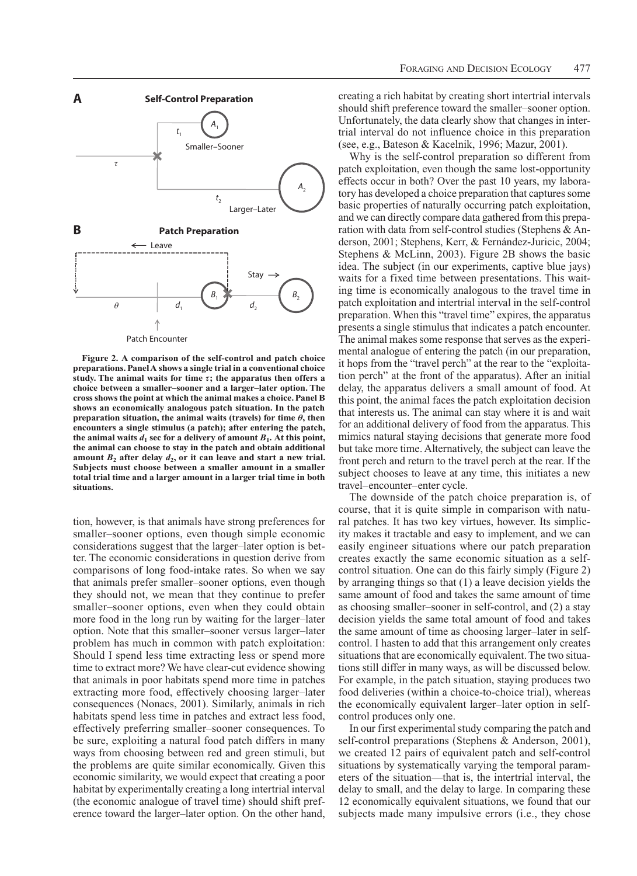

**Figure 2. A comparison of the self-control and patch choice preparations. PanelA shows a single trial in a conventional choice study. The animal waits for time** *τ***; the apparatus then offers a choice between a smaller–sooner and a larger–later option. The cross shows the point at which the animal makes a choice. Panel B shows an economically analogous patch situation. In the patch preparation situation, the animal waits (travels) for time**  $\theta$ **, then encounters a single stimulus (a patch); after entering the patch,**  the animal waits  $d_1$  sec for a delivery of amount  $B_1$ . At this point, **the animal can choose to stay in the patch and obtain additional**  amount  $B_2$  after delay  $d_2$ , or it can leave and start a new trial. **Subjects must choose between a smaller amount in a smaller total trial time and a larger amount in a larger trial time in both situations.**

tion, however, is that animals have strong preferences for smaller–sooner options, even though simple economic considerations suggest that the larger–later option is better. The economic considerations in question derive from comparisons of long food-intake rates. So when we say that animals prefer smaller–sooner options, even though they should not, we mean that they continue to prefer smaller–sooner options, even when they could obtain more food in the long run by waiting for the larger–later option. Note that this smaller–sooner versus larger–later problem has much in common with patch exploitation: Should I spend less time extracting less or spend more time to extract more? We have clear-cut evidence showing that animals in poor habitats spend more time in patches extracting more food, effectively choosing larger–later consequences (Nonacs, 2001). Similarly, animals in rich habitats spend less time in patches and extract less food, effectively preferring smaller–sooner consequences. To be sure, exploiting a natural food patch differs in many ways from choosing between red and green stimuli, but the problems are quite similar economically. Given this economic similarity, we would expect that creating a poor habitat by experimentally creating a long intertrial interval (the economic analogue of travel time) should shift preference toward the larger–later option. On the other hand,

creating a rich habitat by creating short intertrial intervals should shift preference toward the smaller–sooner option. Unfortunately, the data clearly show that changes in intertrial interval do not influence choice in this preparation (see, e.g., Bateson & Kacelnik, 1996; Mazur, 2001).

Why is the self-control preparation so different from patch exploitation, even though the same lost-opportunity effects occur in both? Over the past 10 years, my laboratory has developed a choice preparation that captures some basic properties of naturally occurring patch exploitation, and we can directly compare data gathered from this preparation with data from self-control studies (Stephens & Anderson, 2001; Stephens, Kerr, & Fernández-Juricic, 2004; Stephens & McLinn, 2003). Figure 2B shows the basic idea. The subject (in our experiments, captive blue jays) waits for a fixed time between presentations. This waiting time is economically analogous to the travel time in patch exploitation and intertrial interval in the self-control preparation. When this "travel time" expires, the apparatus presents a single stimulus that indicates a patch encounter. The animal makes some response that serves as the experimental analogue of entering the patch (in our preparation, it hops from the "travel perch" at the rear to the "exploitation perch" at the front of the apparatus). After an initial delay, the apparatus delivers a small amount of food. At this point, the animal faces the patch exploitation decision that interests us. The animal can stay where it is and wait for an additional delivery of food from the apparatus. This mimics natural staying decisions that generate more food but take more time. Alternatively, the subject can leave the front perch and return to the travel perch at the rear. If the subject chooses to leave at any time, this initiates a new travel–encounter–enter cycle.

The downside of the patch choice preparation is, of course, that it is quite simple in comparison with natural patches. It has two key virtues, however. Its simplicity makes it tractable and easy to implement, and we can easily engineer situations where our patch preparation creates exactly the same economic situation as a selfcontrol situation. One can do this fairly simply (Figure 2) by arranging things so that (1) a leave decision yields the same amount of food and takes the same amount of time as choosing smaller–sooner in self-control, and (2) a stay decision yields the same total amount of food and takes the same amount of time as choosing larger–later in selfcontrol. I hasten to add that this arrangement only creates situations that are economically equivalent. The two situations still differ in many ways, as will be discussed below. For example, in the patch situation, staying produces two food deliveries (within a choice-to-choice trial), whereas the economically equivalent larger–later option in selfcontrol produces only one.

In our first experimental study comparing the patch and self-control preparations (Stephens & Anderson, 2001), we created 12 pairs of equivalent patch and self-control situations by systematically varying the temporal parameters of the situation—that is, the intertrial interval, the delay to small, and the delay to large. In comparing these 12 economically equivalent situations, we found that our subjects made many impulsive errors (i.e., they chose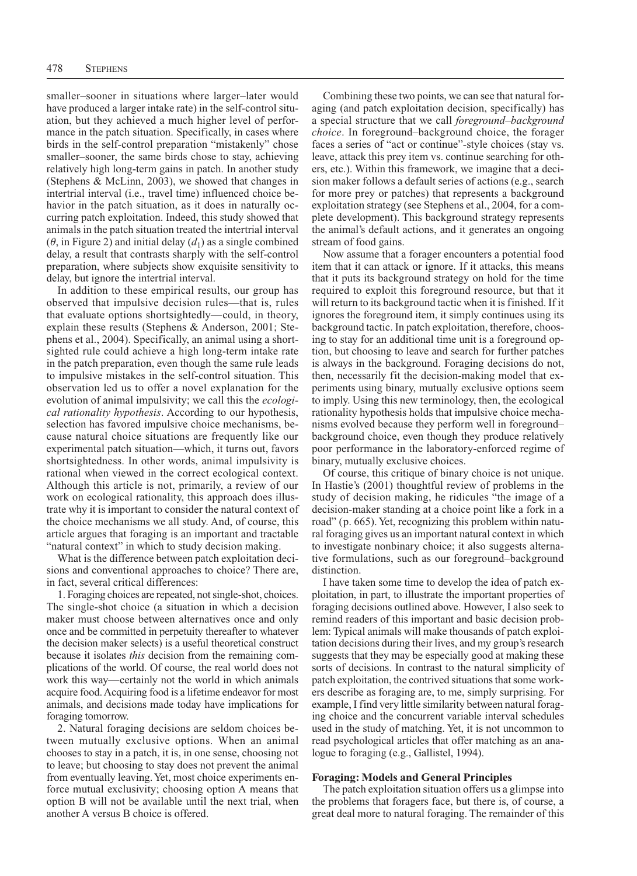smaller–sooner in situations where larger–later would have produced a larger intake rate) in the self-control situation, but they achieved a much higher level of performance in the patch situation. Specifically, in cases where birds in the self-control preparation "mistakenly" chose smaller–sooner, the same birds chose to stay, achieving relatively high long-term gains in patch. In another study (Stephens & McLinn, 2003), we showed that changes in intertrial interval (i.e., travel time) influenced choice behavior in the patch situation, as it does in naturally occurring patch exploitation. Indeed, this study showed that animals in the patch situation treated the intertrial interval  $(\theta)$ , in Figure 2) and initial delay  $(d_1)$  as a single combined delay, a result that contrasts sharply with the self-control preparation, where subjects show exquisite sensitivity to delay, but ignore the intertrial interval.

In addition to these empirical results, our group has observed that impulsive decision rules—that is, rules that evaluate options shortsightedly—could, in theory, explain these results (Stephens & Anderson, 2001; Stephens et al., 2004). Specifically, an animal using a shortsighted rule could achieve a high long-term intake rate in the patch preparation, even though the same rule leads to impulsive mistakes in the self-control situation. This observation led us to offer a novel explanation for the evolution of animal impulsivity; we call this the *ecological rationality hypothesis*. According to our hypothesis, selection has favored impulsive choice mechanisms, because natural choice situations are frequently like our experimental patch situation—which, it turns out, favors shortsightedness. In other words, animal impulsivity is rational when viewed in the correct ecological context. Although this article is not, primarily, a review of our work on ecological rationality, this approach does illustrate why it is important to consider the natural context of the choice mechanisms we all study. And, of course, this article argues that foraging is an important and tractable "natural context" in which to study decision making.

What is the difference between patch exploitation decisions and conventional approaches to choice? There are, in fact, several critical differences:

1. Foraging choices are repeated, not single-shot, choices. The single-shot choice (a situation in which a decision maker must choose between alternatives once and only once and be committed in perpetuity thereafter to whatever the decision maker selects) is a useful theoretical construct because it isolates *this* decision from the remaining complications of the world. Of course, the real world does not work this way—certainly not the world in which animals acquire food. Acquiring food is a lifetime endeavor for most animals, and decisions made today have implications for foraging tomorrow.

2. Natural foraging decisions are seldom choices between mutually exclusive options. When an animal chooses to stay in a patch, it is, in one sense, choosing not to leave; but choosing to stay does not prevent the animal from eventually leaving. Yet, most choice experiments enforce mutual exclusivity; choosing option A means that option B will not be available until the next trial, when another A versus B choice is offered.

Combining these two points, we can see that natural foraging (and patch exploitation decision, specifically) has a special structure that we call *foreground*–*background choice*. In foreground–background choice, the forager faces a series of "act or continue"-style choices (stay vs. leave, attack this prey item vs. continue searching for others, etc.). Within this framework, we imagine that a decision maker follows a default series of actions (e.g., search for more prey or patches) that represents a background exploitation strategy (see Stephens et al., 2004, for a complete development). This background strategy represents the animal's default actions, and it generates an ongoing stream of food gains.

Now assume that a forager encounters a potential food item that it can attack or ignore. If it attacks, this means that it puts its background strategy on hold for the time required to exploit this foreground resource, but that it will return to its background tactic when it is finished. If it ignores the foreground item, it simply continues using its background tactic. In patch exploitation, therefore, choosing to stay for an additional time unit is a foreground option, but choosing to leave and search for further patches is always in the background. Foraging decisions do not, then, necessarily fit the decision-making model that experiments using binary, mutually exclusive options seem to imply. Using this new terminology, then, the ecological rationality hypothesis holds that impulsive choice mechanisms evolved because they perform well in foreground– background choice, even though they produce relatively poor performance in the laboratory-enforced regime of binary, mutually exclusive choices.

Of course, this critique of binary choice is not unique. In Hastie's (2001) thoughtful review of problems in the study of decision making, he ridicules "the image of a decision-maker standing at a choice point like a fork in a road" (p. 665). Yet, recognizing this problem within natural foraging gives us an important natural context in which to investigate nonbinary choice; it also suggests alternative formulations, such as our foreground–background distinction.

I have taken some time to develop the idea of patch exploitation, in part, to illustrate the important properties of foraging decisions outlined above. However, I also seek to remind readers of this important and basic decision problem: Typical animals will make thousands of patch exploitation decisions during their lives, and my group's research suggests that they may be especially good at making these sorts of decisions. In contrast to the natural simplicity of patch exploitation, the contrived situations that some workers describe as foraging are, to me, simply surprising. For example, I find very little similarity between natural foraging choice and the concurrent variable interval schedules used in the study of matching. Yet, it is not uncommon to read psychological articles that offer matching as an analogue to foraging (e.g., Gallistel, 1994).

#### **Foraging: Models and General Principles**

The patch exploitation situation offers us a glimpse into the problems that foragers face, but there is, of course, a great deal more to natural foraging. The remainder of this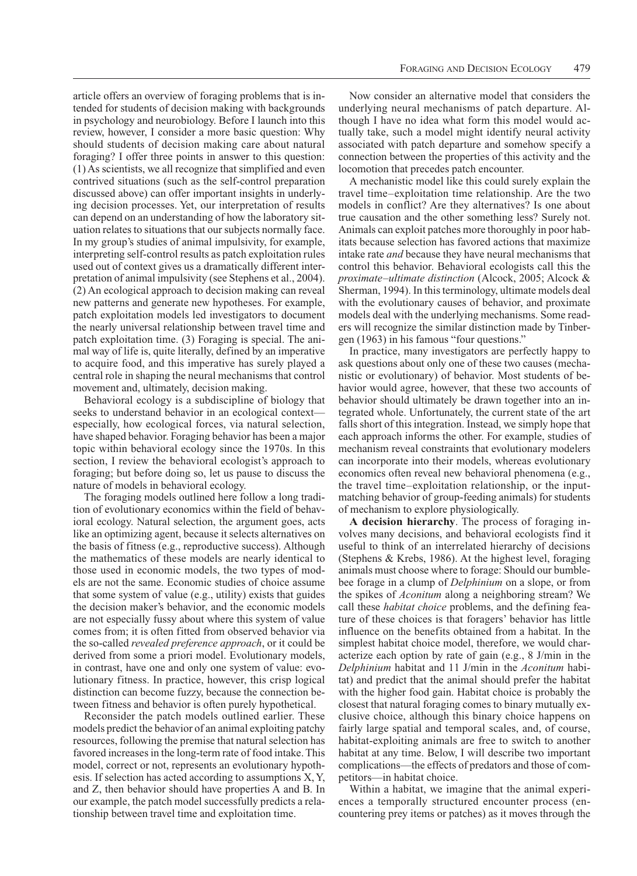article offers an overview of foraging problems that is intended for students of decision making with backgrounds in psychology and neurobiology. Before I launch into this review, however, I consider a more basic question: Why should students of decision making care about natural foraging? I offer three points in answer to this question: (1)As scientists, we all recognize that simplified and even contrived situations (such as the self-control preparation discussed above) can offer important insights in underlying decision processes. Yet, our interpretation of results can depend on an understanding of how the laboratory situation relates to situations that our subjects normally face. In my group's studies of animal impulsivity, for example, interpreting self-control results as patch exploitation rules used out of context gives us a dramatically different interpretation of animal impulsivity (see Stephens et al., 2004). (2) An ecological approach to decision making can reveal new patterns and generate new hypotheses. For example, patch exploitation models led investigators to document the nearly universal relationship between travel time and patch exploitation time. (3) Foraging is special. The animal way of life is, quite literally, defined by an imperative to acquire food, and this imperative has surely played a central role in shaping the neural mechanisms that control movement and, ultimately, decision making.

Behavioral ecology is a subdiscipline of biology that seeks to understand behavior in an ecological context especially, how ecological forces, via natural selection, have shaped behavior. Foraging behavior has been a major topic within behavioral ecology since the 1970s. In this section, I review the behavioral ecologist's approach to foraging; but before doing so, let us pause to discuss the nature of models in behavioral ecology.

The foraging models outlined here follow a long tradition of evolutionary economics within the field of behavioral ecology. Natural selection, the argument goes, acts like an optimizing agent, because it selects alternatives on the basis of fitness (e.g., reproductive success). Although the mathematics of these models are nearly identical to those used in economic models, the two types of models are not the same. Economic studies of choice assume that some system of value (e.g., utility) exists that guides the decision maker's behavior, and the economic models are not especially fussy about where this system of value comes from; it is often fitted from observed behavior via the so-called *revealed preference approach*, or it could be derived from some a priori model. Evolutionary models, in contrast, have one and only one system of value: evolutionary fitness. In practice, however, this crisp logical distinction can become fuzzy, because the connection between fitness and behavior is often purely hypothetical.

Reconsider the patch models outlined earlier. These models predict the behavior of an animal exploiting patchy resources, following the premise that natural selection has favored increases in the long-term rate of food intake. This model, correct or not, represents an evolutionary hypothesis. If selection has acted according to assumptions X, Y, and Z, then behavior should have properties A and B. In our example, the patch model successfully predicts a relationship between travel time and exploitation time.

Now consider an alternative model that considers the underlying neural mechanisms of patch departure. Although I have no idea what form this model would actually take, such a model might identify neural activity associated with patch departure and somehow specify a connection between the properties of this activity and the locomotion that precedes patch encounter.

A mechanistic model like this could surely explain the travel time–exploitation time relationship. Are the two models in conflict? Are they alternatives? Is one about true causation and the other something less? Surely not. Animals can exploit patches more thoroughly in poor habitats because selection has favored actions that maximize intake rate *and* because they have neural mechanisms that control this behavior. Behavioral ecologists call this the *proximate–ultimate distinction* (Alcock, 2005; Alcock & Sherman, 1994). In this terminology, ultimate models deal with the evolutionary causes of behavior, and proximate models deal with the underlying mechanisms. Some readers will recognize the similar distinction made by Tinbergen (1963) in his famous "four questions."

In practice, many investigators are perfectly happy to ask questions about only one of these two causes (mechanistic or evolutionary) of behavior. Most students of behavior would agree, however, that these two accounts of behavior should ultimately be drawn together into an integrated whole. Unfortunately, the current state of the art falls short of this integration. Instead, we simply hope that each approach informs the other. For example, studies of mechanism reveal constraints that evolutionary modelers can incorporate into their models, whereas evolutionary economics often reveal new behavioral phenomena (e.g., the travel time–exploitation relationship, or the inputmatching behavior of group-feeding animals) for students of mechanism to explore physiologically.

**A decision hierarchy**. The process of foraging involves many decisions, and behavioral ecologists find it useful to think of an interrelated hierarchy of decisions (Stephens & Krebs, 1986). At the highest level, foraging animals must choose where to forage: Should our bumblebee forage in a clump of *Delphinium* on a slope, or from the spikes of *Aconitum* along a neighboring stream? We call these *habitat choice* problems, and the defining feature of these choices is that foragers' behavior has little influence on the benefits obtained from a habitat. In the simplest habitat choice model, therefore, we would characterize each option by rate of gain (e.g., 8 J/min in the *Delphinium* habitat and 11 J/min in the *Aconitum* habitat) and predict that the animal should prefer the habitat with the higher food gain. Habitat choice is probably the closest that natural foraging comes to binary mutually exclusive choice, although this binary choice happens on fairly large spatial and temporal scales, and, of course, habitat-exploiting animals are free to switch to another habitat at any time. Below, I will describe two important complications—the effects of predators and those of competitors—in habitat choice.

Within a habitat, we imagine that the animal experiences a temporally structured encounter process (encountering prey items or patches) as it moves through the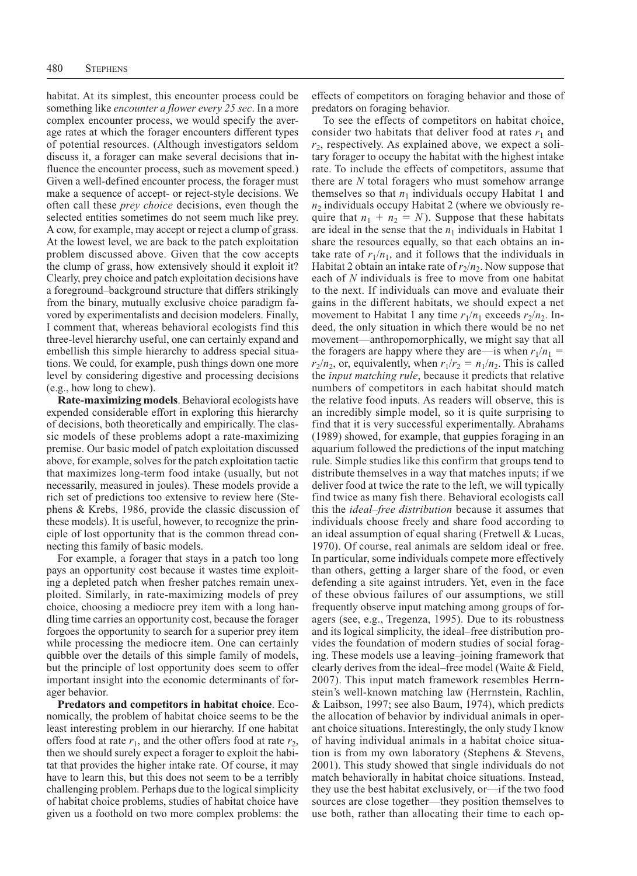habitat. At its simplest, this encounter process could be something like *encounter a flower every 25 sec*. In a more complex encounter process, we would specify the average rates at which the forager encounters different types of potential resources. (Although investigators seldom discuss it, a forager can make several decisions that influence the encounter process, such as movement speed.) Given a well-defined encounter process, the forager must make a sequence of accept- or reject-style decisions. We often call these *prey choice* decisions, even though the selected entities sometimes do not seem much like prey. A cow, for example, may accept or reject a clump of grass. At the lowest level, we are back to the patch exploitation problem discussed above. Given that the cow accepts the clump of grass, how extensively should it exploit it? Clearly, prey choice and patch exploitation decisions have a foreground–background structure that differs strikingly from the binary, mutually exclusive choice paradigm favored by experimentalists and decision modelers. Finally, I comment that, whereas behavioral ecologists find this three-level hierarchy useful, one can certainly expand and embellish this simple hierarchy to address special situations. We could, for example, push things down one more level by considering digestive and processing decisions (e.g., how long to chew).

**Rate-maximizing models**. Behavioral ecologists have expended considerable effort in exploring this hierarchy of decisions, both theoretically and empirically. The classic models of these problems adopt a rate-maximizing premise. Our basic model of patch exploitation discussed above, for example, solves for the patch exploitation tactic that maximizes long-term food intake (usually, but not necessarily, measured in joules). These models provide a rich set of predictions too extensive to review here (Stephens & Krebs, 1986, provide the classic discussion of these models). It is useful, however, to recognize the principle of lost opportunity that is the common thread connecting this family of basic models.

For example, a forager that stays in a patch too long pays an opportunity cost because it wastes time exploiting a depleted patch when fresher patches remain unexploited. Similarly, in rate-maximizing models of prey choice, choosing a mediocre prey item with a long handling time carries an opportunity cost, because the forager forgoes the opportunity to search for a superior prey item while processing the mediocre item. One can certainly quibble over the details of this simple family of models, but the principle of lost opportunity does seem to offer important insight into the economic determinants of forager behavior.

**Predators and competitors in habitat choice**. Economically, the problem of habitat choice seems to be the least interesting problem in our hierarchy. If one habitat offers food at rate  $r_1$ , and the other offers food at rate  $r_2$ , then we should surely expect a forager to exploit the habitat that provides the higher intake rate. Of course, it may have to learn this, but this does not seem to be a terribly challenging problem. Perhaps due to the logical simplicity of habitat choice problems, studies of habitat choice have given us a foothold on two more complex problems: the

effects of competitors on foraging behavior and those of predators on foraging behavior.

To see the effects of competitors on habitat choice, consider two habitats that deliver food at rates  $r_1$  and *r*2, respectively. As explained above, we expect a solitary forager to occupy the habitat with the highest intake rate. To include the effects of competitors, assume that there are *N* total foragers who must somehow arrange themselves so that  $n_1$  individuals occupy Habitat 1 and  $n_2$  individuals occupy Habitat 2 (where we obviously require that  $n_1 + n_2 = N$ ). Suppose that these habitats are ideal in the sense that the  $n_1$  individuals in Habitat 1 share the resources equally, so that each obtains an intake rate of  $r_1/n_1$ , and it follows that the individuals in Habitat 2 obtain an intake rate of  $r_2/n_2$ . Now suppose that each of *N* individuals is free to move from one habitat to the next. If individuals can move and evaluate their gains in the different habitats, we should expect a net movement to Habitat 1 any time  $r_1/n_1$  exceeds  $r_2/n_2$ . Indeed, the only situation in which there would be no net movement—anthropomorphically, we might say that all the foragers are happy where they are—is when  $r_1/n_1 =$  $r_2/n_2$ , or, equivalently, when  $r_1/r_2 = n_1/n_2$ . This is called the *input matching rule*, because it predicts that relative numbers of competitors in each habitat should match the relative food inputs. As readers will observe, this is an incredibly simple model, so it is quite surprising to find that it is very successful experimentally. Abrahams (1989) showed, for example, that guppies foraging in an aquarium followed the predictions of the input matching rule. Simple studies like this confirm that groups tend to distribute themselves in a way that matches inputs; if we deliver food at twice the rate to the left, we will typically find twice as many fish there. Behavioral ecologists call this the *ideal–free distribution* because it assumes that individuals choose freely and share food according to an ideal assumption of equal sharing (Fretwell & Lucas, 1970). Of course, real animals are seldom ideal or free. In particular, some individuals compete more effectively than others, getting a larger share of the food, or even defending a site against intruders. Yet, even in the face of these obvious failures of our assumptions, we still frequently observe input matching among groups of foragers (see, e.g., Tregenza, 1995). Due to its robustness and its logical simplicity, the ideal–free distribution provides the foundation of modern studies of social foraging. These models use a leaving–joining framework that clearly derives from the ideal–free model (Waite & Field, 2007). This input match framework resembles Herrnstein's well-known matching law (Herrnstein, Rachlin, & Laibson, 1997; see also Baum, 1974), which predicts the allocation of behavior by individual animals in operant choice situations. Interestingly, the only study I know of having individual animals in a habitat choice situation is from my own laboratory (Stephens & Stevens, 2001). This study showed that single individuals do not match behaviorally in habitat choice situations. Instead, they use the best habitat exclusively, or—if the two food sources are close together—they position themselves to use both, rather than allocating their time to each op-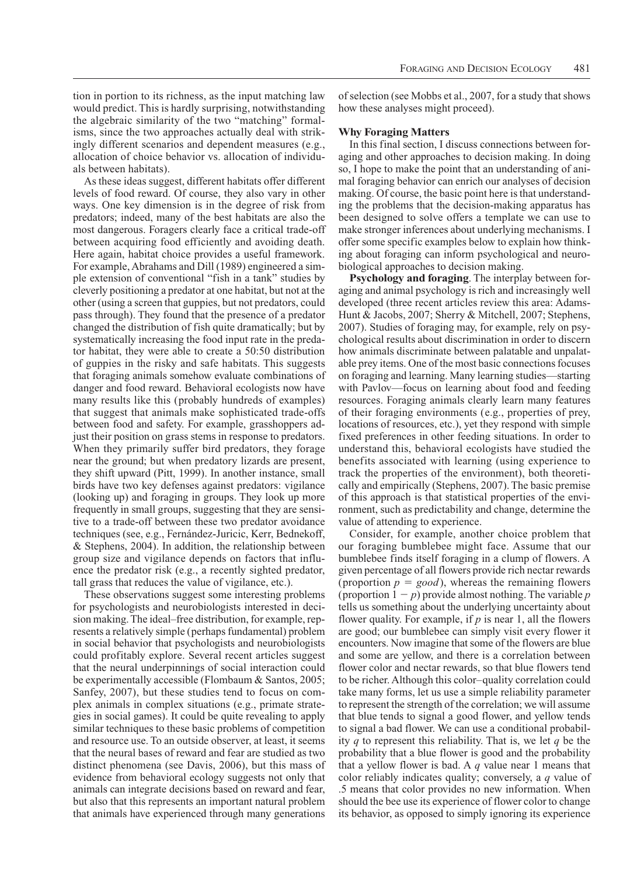tion in portion to its richness, as the input matching law would predict. This is hardly surprising, notwithstanding the algebraic similarity of the two "matching" formalisms, since the two approaches actually deal with strikingly different scenarios and dependent measures (e.g., allocation of choice behavior vs. allocation of individuals between habitats).

As these ideas suggest, different habitats offer different levels of food reward. Of course, they also vary in other ways. One key dimension is in the degree of risk from predators; indeed, many of the best habitats are also the most dangerous. Foragers clearly face a critical trade-off between acquiring food efficiently and avoiding death. Here again, habitat choice provides a useful framework. For example, Abrahams and Dill (1989) engineered a simple extension of conventional "fish in a tank" studies by cleverly positioning a predator at one habitat, but not at the other (using a screen that guppies, but not predators, could pass through). They found that the presence of a predator changed the distribution of fish quite dramatically; but by systematically increasing the food input rate in the predator habitat, they were able to create a 50:50 distribution of guppies in the risky and safe habitats. This suggests that foraging animals somehow evaluate combinations of danger and food reward. Behavioral ecologists now have many results like this (probably hundreds of examples) that suggest that animals make sophisticated trade-offs between food and safety. For example, grasshoppers adjust their position on grass stems in response to predators. When they primarily suffer bird predators, they forage near the ground; but when predatory lizards are present, they shift upward (Pitt, 1999). In another instance, small birds have two key defenses against predators: vigilance (looking up) and foraging in groups. They look up more frequently in small groups, suggesting that they are sensitive to a trade-off between these two predator avoidance techniques (see, e.g., Fernández-Juricic, Kerr, Bednekoff, & Stephens, 2004). In addition, the relationship between group size and vigilance depends on factors that influence the predator risk (e.g., a recently sighted predator, tall grass that reduces the value of vigilance, etc.).

These observations suggest some interesting problems for psychologists and neurobiologists interested in decision making. The ideal–free distribution, for example, represents a relatively simple (perhaps fundamental) problem in social behavior that psychologists and neurobiologists could profitably explore. Several recent articles suggest that the neural underpinnings of social interaction could be experimentally accessible (Flombaum & Santos, 2005; Sanfey, 2007), but these studies tend to focus on complex animals in complex situations (e.g., primate strategies in social games). It could be quite revealing to apply similar techniques to these basic problems of competition and resource use. To an outside observer, at least, it seems that the neural bases of reward and fear are studied as two distinct phenomena (see Davis, 2006), but this mass of evidence from behavioral ecology suggests not only that animals can integrate decisions based on reward and fear, but also that this represents an important natural problem that animals have experienced through many generations

of selection (see Mobbs et al., 2007, for a study that shows how these analyses might proceed).

### **Why Foraging Matters**

In this final section, I discuss connections between foraging and other approaches to decision making. In doing so, I hope to make the point that an understanding of animal foraging behavior can enrich our analyses of decision making. Of course, the basic point here is that understanding the problems that the decision-making apparatus has been designed to solve offers a template we can use to make stronger inferences about underlying mechanisms. I offer some specific examples below to explain how thinking about foraging can inform psychological and neurobiological approaches to decision making.

**Psychology and foraging**. The interplay between foraging and animal psychology is rich and increasingly well developed (three recent articles review this area: Adams-Hunt & Jacobs, 2007; Sherry & Mitchell, 2007; Stephens, 2007). Studies of foraging may, for example, rely on psychological results about discrimination in order to discern how animals discriminate between palatable and unpalatable prey items. One of the most basic connections focuses on foraging and learning. Many learning studies—starting with Pavlov—focus on learning about food and feeding resources. Foraging animals clearly learn many features of their foraging environments (e.g., properties of prey, locations of resources, etc.), yet they respond with simple fixed preferences in other feeding situations. In order to understand this, behavioral ecologists have studied the benefits associated with learning (using experience to track the properties of the environment), both theoretically and empirically (Stephens, 2007). The basic premise of this approach is that statistical properties of the environment, such as predictability and change, determine the value of attending to experience.

Consider, for example, another choice problem that our foraging bumblebee might face. Assume that our bumblebee finds itself foraging in a clump of flowers. A given percentage of all flowers provide rich nectar rewards (proportion  $p = good$ ), whereas the remaining flowers (proportion  $1 - p$ ) provide almost nothing. The variable *p* tells us something about the underlying uncertainty about flower quality. For example, if *p* is near 1, all the flowers are good; our bumblebee can simply visit every flower it encounters. Now imagine that some of the flowers are blue and some are yellow, and there is a correlation between flower color and nectar rewards, so that blue flowers tend to be richer. Although this color–quality correlation could take many forms, let us use a simple reliability parameter to represent the strength of the correlation; we will assume that blue tends to signal a good flower, and yellow tends to signal a bad flower. We can use a conditional probability *q* to represent this reliability. That is, we let *q* be the probability that a blue flower is good and the probability that a yellow flower is bad. A *q* value near 1 means that color reliably indicates quality; conversely, a *q* value of .5 means that color provides no new information. When should the bee use its experience of flower color to change its behavior, as opposed to simply ignoring its experience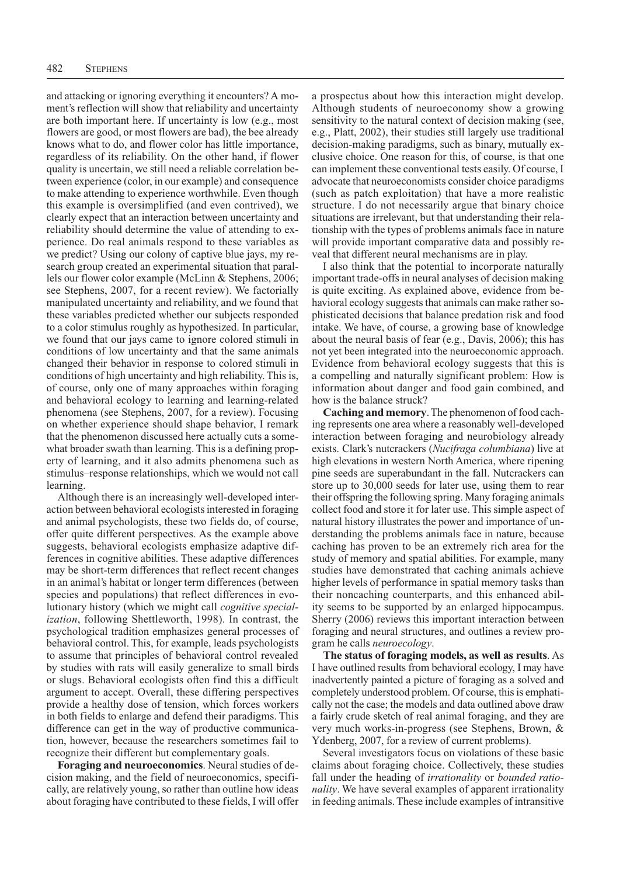and attacking or ignoring everything it encounters? A moment's reflection will show that reliability and uncertainty are both important here. If uncertainty is low (e.g., most flowers are good, or most flowers are bad), the bee already knows what to do, and flower color has little importance, regardless of its reliability. On the other hand, if flower quality is uncertain, we still need a reliable correlation between experience (color, in our example) and consequence to make attending to experience worthwhile. Even though this example is oversimplified (and even contrived), we clearly expect that an interaction between uncertainty and reliability should determine the value of attending to experience. Do real animals respond to these variables as we predict? Using our colony of captive blue jays, my research group created an experimental situation that parallels our flower color example (McLinn & Stephens, 2006; see Stephens, 2007, for a recent review). We factorially manipulated uncertainty and reliability, and we found that these variables predicted whether our subjects responded to a color stimulus roughly as hypothesized. In particular, we found that our jays came to ignore colored stimuli in conditions of low uncertainty and that the same animals changed their behavior in response to colored stimuli in conditions of high uncertainty and high reliability. This is, of course, only one of many approaches within foraging and behavioral ecology to learning and learning-related phenomena (see Stephens, 2007, for a review). Focusing on whether experience should shape behavior, I remark that the phenomenon discussed here actually cuts a somewhat broader swath than learning. This is a defining property of learning, and it also admits phenomena such as stimulus–response relationships, which we would not call learning.

Although there is an increasingly well-developed interaction between behavioral ecologists interested in foraging and animal psychologists, these two fields do, of course, offer quite different perspectives. As the example above suggests, behavioral ecologists emphasize adaptive differences in cognitive abilities. These adaptive differences may be short-term differences that reflect recent changes in an animal's habitat or longer term differences (between species and populations) that reflect differences in evolutionary history (which we might call *cognitive specialization*, following Shettleworth, 1998). In contrast, the psychological tradition emphasizes general processes of behavioral control. This, for example, leads psychologists to assume that principles of behavioral control revealed by studies with rats will easily generalize to small birds or slugs. Behavioral ecologists often find this a difficult argument to accept. Overall, these differing perspectives provide a healthy dose of tension, which forces workers in both fields to enlarge and defend their paradigms. This difference can get in the way of productive communication, however, because the researchers sometimes fail to recognize their different but complementary goals.

**Foraging and neuroeconomics**. Neural studies of decision making, and the field of neuroeconomics, specifically, are relatively young, so rather than outline how ideas about foraging have contributed to these fields, I will offer a prospectus about how this interaction might develop. Although students of neuroeconomy show a growing sensitivity to the natural context of decision making (see, e.g., Platt, 2002), their studies still largely use traditional decision-making paradigms, such as binary, mutually exclusive choice. One reason for this, of course, is that one can implement these conventional tests easily. Of course, I advocate that neuroeconomists consider choice paradigms (such as patch exploitation) that have a more realistic structure. I do not necessarily argue that binary choice situations are irrelevant, but that understanding their relationship with the types of problems animals face in nature will provide important comparative data and possibly reveal that different neural mechanisms are in play.

I also think that the potential to incorporate naturally important trade-offs in neural analyses of decision making is quite exciting. As explained above, evidence from behavioral ecology suggests that animals can make rather sophisticated decisions that balance predation risk and food intake. We have, of course, a growing base of knowledge about the neural basis of fear (e.g., Davis, 2006); this has not yet been integrated into the neuroeconomic approach. Evidence from behavioral ecology suggests that this is a compelling and naturally significant problem: How is information about danger and food gain combined, and how is the balance struck?

**Caching and memory**. The phenomenon of food caching represents one area where a reasonably well-developed interaction between foraging and neurobiology already exists. Clark's nutcrackers (*Nucifraga columbiana*) live at high elevations in western North America, where ripening pine seeds are superabundant in the fall. Nutcrackers can store up to 30,000 seeds for later use, using them to rear their offspring the following spring. Many foraging animals collect food and store it for later use. This simple aspect of natural history illustrates the power and importance of understanding the problems animals face in nature, because caching has proven to be an extremely rich area for the study of memory and spatial abilities. For example, many studies have demonstrated that caching animals achieve higher levels of performance in spatial memory tasks than their noncaching counterparts, and this enhanced ability seems to be supported by an enlarged hippocampus. Sherry (2006) reviews this important interaction between foraging and neural structures, and outlines a review program he calls *neuroecology*.

**The status of foraging models, as well as results**. As I have outlined results from behavioral ecology, I may have inadvertently painted a picture of foraging as a solved and completely understood problem. Of course, this is emphatically not the case; the models and data outlined above draw a fairly crude sketch of real animal foraging, and they are very much works-in-progress (see Stephens, Brown, & Ydenberg, 2007, for a review of current problems).

Several investigators focus on violations of these basic claims about foraging choice. Collectively, these studies fall under the heading of *irrationality* or *bounded rationality*. We have several examples of apparent irrationality in feeding animals. These include examples of intransitive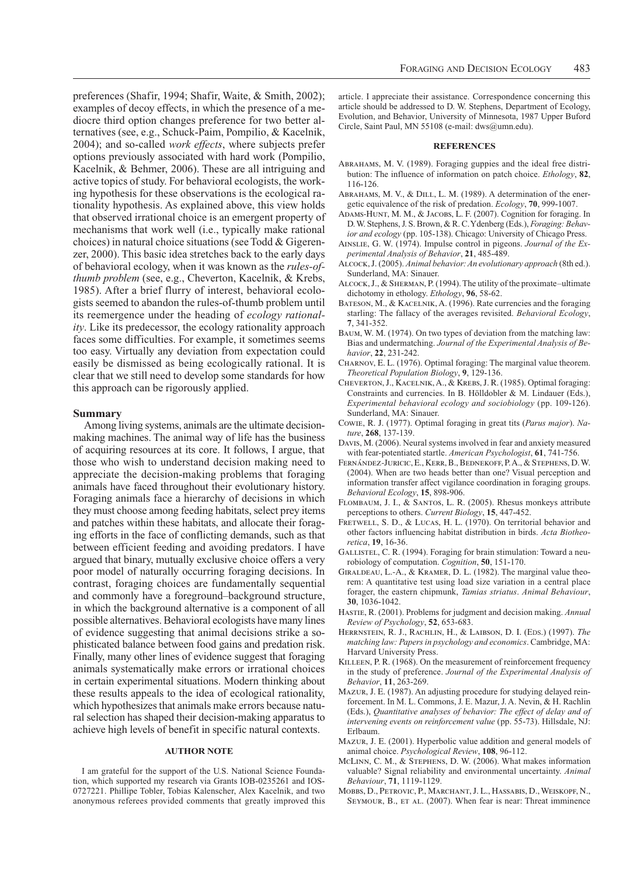preferences (Shafir, 1994; Shafir, Waite, & Smith, 2002); examples of decoy effects, in which the presence of a mediocre third option changes preference for two better alternatives (see, e.g., Schuck-Paim, Pompilio, & Kacelnik, 2004); and so-called *work effects*, where subjects prefer options previously associated with hard work (Pompilio, Kacelnik, & Behmer, 2006). These are all intriguing and active topics of study. For behavioral ecologists, the working hypothesis for these observations is the ecological rationality hypothesis. As explained above, this view holds that observed irrational choice is an emergent property of mechanisms that work well (i.e., typically make rational choices) in natural choice situations (see Todd & Gigerenzer, 2000). This basic idea stretches back to the early days of behavioral ecology, when it was known as the *rules-ofthumb problem* (see, e.g., Cheverton, Kacelnik, & Krebs, 1985). After a brief flurry of interest, behavioral ecologists seemed to abandon the rules-of-thumb problem until its reemergence under the heading of *ecology rationality*. Like its predecessor, the ecology rationality approach faces some difficulties. For example, it sometimes seems too easy. Virtually any deviation from expectation could easily be dismissed as being ecologically rational. It is clear that we still need to develop some standards for how this approach can be rigorously applied.

#### **Summary**

Among living systems, animals are the ultimate decisionmaking machines. The animal way of life has the business of acquiring resources at its core. It follows, I argue, that those who wish to understand decision making need to appreciate the decision-making problems that foraging animals have faced throughout their evolutionary history. Foraging animals face a hierarchy of decisions in which they must choose among feeding habitats, select prey items and patches within these habitats, and allocate their foraging efforts in the face of conflicting demands, such as that between efficient feeding and avoiding predators. I have argued that binary, mutually exclusive choice offers a very poor model of naturally occurring foraging decisions. In contrast, foraging choices are fundamentally sequential and commonly have a foreground–background structure, in which the background alternative is a component of all possible alternatives. Behavioral ecologists have many lines of evidence suggesting that animal decisions strike a sophisticated balance between food gains and predation risk. Finally, many other lines of evidence suggest that foraging animals systematically make errors or irrational choices in certain experimental situations. Modern thinking about these results appeals to the idea of ecological rationality, which hypothesizes that animals make errors because natural selection has shaped their decision-making apparatus to achieve high levels of benefit in specific natural contexts.

#### **Author Note**

I am grateful for the support of the U.S. National Science Foundation, which supported my research via Grants IOB-0235261 and IOS-0727221. Phillipe Tobler, Tobias Kalenscher, Alex Kacelnik, and two anonymous referees provided comments that greatly improved this article. I appreciate their assistance. Correspondence concerning this article should be addressed to D. W. Stephens, Department of Ecology, Evolution, and Behavior, University of Minnesota, 1987 Upper Buford Circle, Saint Paul, MN 55108 (e-mail: dws@umn.edu).

#### **References**

- Abrahams, M. V. (1989). Foraging guppies and the ideal free distribution: The influence of information on patch choice. *Ethology*, **82**, 116-126.
- ABRAHAMS, M. V., & DILL, L. M. (1989). A determination of the energetic equivalence of the risk of predation. *Ecology*, **70**, 999-1007.
- Adams-Hunt, M. M., & Jacobs, L. F. (2007). Cognition for foraging. In D.W. Stephens, J. S. Brown, & R. C. Ydenberg (Eds.), *Foraging: Behavior and ecology* (pp. 105-138). Chicago: University of Chicago Press.
- Ainslie, G. W. (1974). Impulse control in pigeons. *Journal of the Experimental Analysis of Behavior*, **21**, 485-489.
- Alcock, J. (2005). *Animal behavior: An evolutionary approach* (8th ed.). Sunderland, MA: Sinauer.
- Alcock, J., & Sherman, P. (1994). The utility of the proximate–ultimate dichotomy in ethology. *Ethology*, **96**, 58-62.
- BATESON, M., & KACELNIK, A. (1996). Rate currencies and the foraging starling: The fallacy of the averages revisited. *Behavioral Ecology*, **7**, 341-352.
- Baum, W. M. (1974). On two types of deviation from the matching law: Bias and undermatching. *Journal of the Experimental Analysis of Behavior*, **22**, 231-242.
- CHARNOV, E. L. (1976). Optimal foraging: The marginal value theorem. *Theoretical Population Biology*, **9**, 129-136.
- Cheverton, J., Kacelnik, A., & Krebs, J. R. (1985). Optimal foraging: Constraints and currencies. In B. Hölldobler & M. Lindauer (Eds.), *Experimental behavioral ecology and sociobiology* (pp. 109-126). Sunderland, MA: Sinauer.
- Cowie, R. J. (1977). Optimal foraging in great tits (*Parus major*). *Nature*, **268**, 137-139.
- Davis, M. (2006). Neural systems involved in fear and anxiety measured with fear-potentiated startle. *American Psychologist*, **61**, 741-756.
- Fernández-Juricic, E., Kerr, B., Bednekoff, P. A., & Stephens, D.W. (2004). When are two heads better than one? Visual perception and information transfer affect vigilance coordination in foraging groups. *Behavioral Ecology*, **15**, 898-906.
- Flombaum, J. I., & Santos, L. R. (2005). Rhesus monkeys attribute perceptions to others. *Current Biology*, **15**, 447-452.
- FRETWELL, S. D., & LUCAS, H. L. (1970). On territorial behavior and other factors influencing habitat distribution in birds. *Acta Biotheoretica*, **19**, 16-36.
- GALLISTEL, C. R. (1994). Foraging for brain stimulation: Toward a neurobiology of computation. *Cognition*, **50**, 151-170.
- GIRALDEAU, L.-A., & KRAMER, D. L. (1982). The marginal value theorem: A quantitative test using load size variation in a central place forager, the eastern chipmunk, *Tamias striatus*. *Animal Behaviour*, **30**, 1036-1042.
- Hastie, R. (2001). Problems for judgment and decision making. *Annual Review of Psychology*, **52**, 653-683.
- Herrnstein, R. J., Rachlin, H., & Laibson, D. I. (Eds.) (1997). *The matching law: Papers in psychology and economics*. Cambridge, MA: Harvard University Press.
- Killeen, P. R. (1968). On the measurement of reinforcement frequency in the study of preference. *Journal of the Experimental Analysis of Behavior*, **11**, 263-269.
- Mazur, J. E. (1987). An adjusting procedure for studying delayed reinforcement. In M. L. Commons, J. E. Mazur, J. A. Nevin, & H. Rachlin (Eds.), *Quantitative analyses of behavior: The effect of delay and of intervening events on reinforcement value* (pp. 55-73). Hillsdale, NJ: Erlbaum.
- Mazur, J. E. (2001). Hyperbolic value addition and general models of animal choice. *Psychological Review*, **108**, 96-112.
- McLinn, C. M., & Stephens, D. W. (2006). What makes information valuable? Signal reliability and environmental uncertainty. *Animal Behaviour*, **71**, 1119-1129.
- Mobbs, D., Petrovic, P., Marchant, J. L., Hassabis, D., Weiskopf, N., SEYMOUR, B., ET AL. (2007). When fear is near: Threat imminence